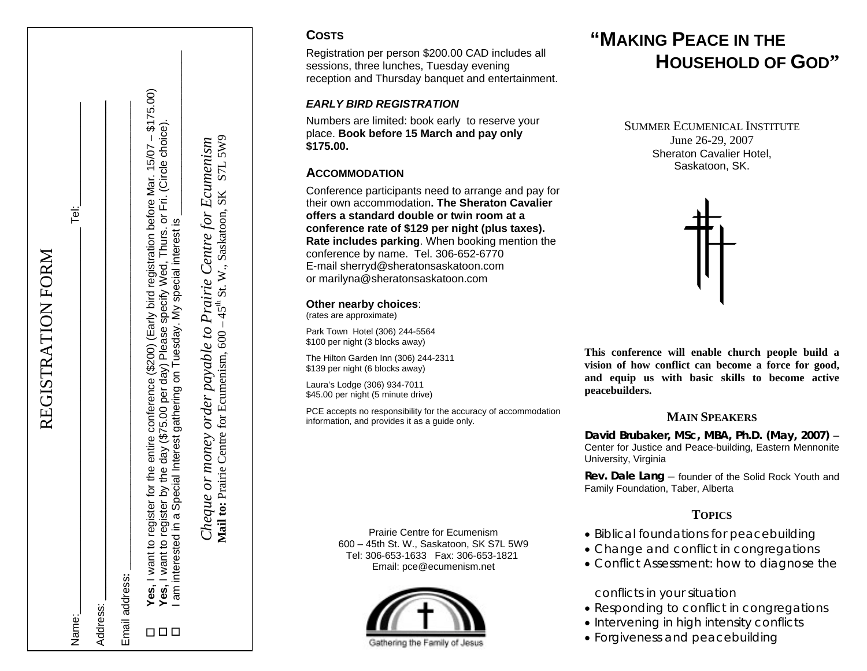|       | REGISTRATION FORM                                                                                                                                                                                                                                                                                                     |
|-------|-----------------------------------------------------------------------------------------------------------------------------------------------------------------------------------------------------------------------------------------------------------------------------------------------------------------------|
| Name: | Tei:                                                                                                                                                                                                                                                                                                                  |
|       | Address:                                                                                                                                                                                                                                                                                                              |
|       | Email address:                                                                                                                                                                                                                                                                                                        |
|       | Yes, I want to register for the entire conference (\$200) (Early bird registration before Mar. 15/07 – \$175.00)<br>Yes, I want to register by the day (\$75.00 per day) Please specify Wed, Thurs. or Fri. (Circle choice).<br>in a Special Interest gathering on Tuesday. My special interest is<br>I am interested |

Mail to: Prairie Centre for Ecumenism,  $600 - 45^{\text{th}}$  St. W., Saskatoon, SK S7L 5W9 **Mail to: Prairie Centre for Ecumenism, 600 – 45<sup>th</sup> St. W., Saskatoon, SK S7L 5W9** Cheque or money order payable to Prairie Centre for Ecumenism *Cheque or money order payable to Prairie Centre for Ecumenism*

## **COSTS**

Registration per person \$200.00 CAD includes all sessions, three lunches, Tuesday evening reception and Thursday banquet and entertainment.

#### *EARLY BIRD REGISTRATION*

Numbers are limited: book early to reserve your place. **Book before 15 March and pay only \$175.00.**

# **ACCOMMODATION**

Conference participants need to arrange and pay for their own accommodation**. The Sheraton Cavalieroffers a standard double or twin room at aconference rate of \$129 per night (plus taxes). Rate includes parking**. When booking mention the conference by name. Tel. 306-652-6770 E-mail [sherryd@sheratonsaskatoon.com](mailto:Sherry@sheratonsaskatoon.com) or [marilyna@sheratonsaskatoon.com](mailto:marilyna@sheratonsaskatoon.com)

#### **Other nearby choices**:

(rates are approximate)

Park Town Hotel (306) 244-5564 \$100 per night (3 blocks away)

The Hilton Garden Inn (306) 244-2311 \$139 per night (6 blocks away)

Laura's Lodge (306) 934-7011 \$45.00 per night (5 minute drive)

PCE accepts no responsibility for the accuracy of accommodation information, and provides it as a guide only.

> Prairie Centre for Ecumenism600 – 45th St. W., Saskatoon, SK S7L 5W9 Tel: 306-653-1633 Fax: 306-653-1821 Email: pce@ecumenism.net



# **"MAKING PEACE IN THEHOUSEHOLD OF GOD"**

SUMMER ECUMENICAL INSTITUTEJune 26-29, 2007 Sheraton Cavalier Hotel, Saskatoon, SK.



**This conference will enable church people build a vision of how conflict can become a force for good, and equip us with basic skills to become active peacebuilders.**

## **MAIN SPEAKERS**

**David Brubaker, MSc, MBA, Ph.D. (May, 2007)** – Center for Justice and Peace-building, Eastern Mennonite University, Virginia

**Rev. Dale Lang** – founder of the Solid Rock Youth and Family Foundation, Taber, Alberta

## **TOPICS**

- Biblical foundations for peacebuilding
- Change and conflict in congregations
- Conflict Assessment: how to diagnose the

conflicts in your situation

- Responding to conflict in congregations
- Intervening in high intensity conflicts
- Forgiveness and peacebuilding